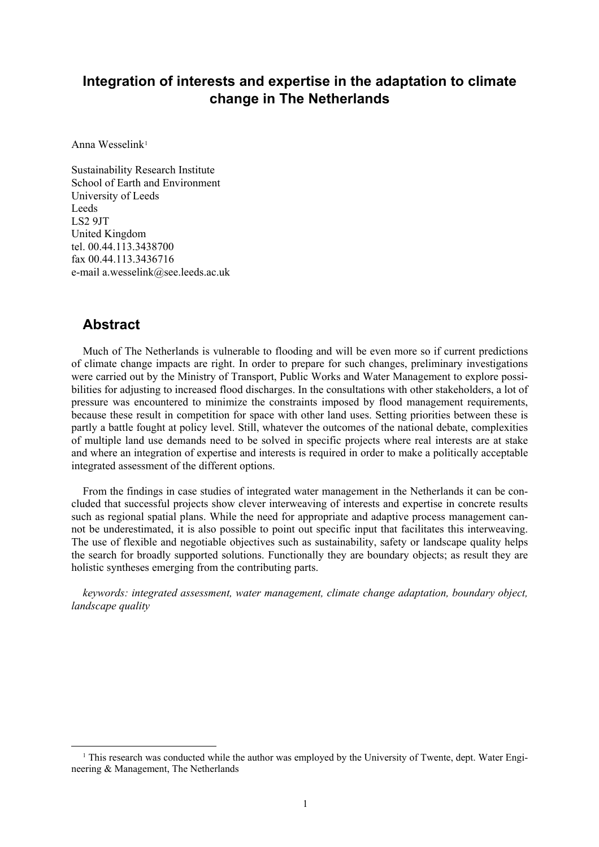# **Integration of interests and expertise in the adaptation to climate change in The Netherlands**

Anna Wesselink[1](#page-0-0)

Sustainability Research Institute School of Earth and Environment University of Leeds Leeds LS2 9JT United Kingdom tel. 00.44.113.3438700 fax 00.44.113.3436716 e-mail a.wesselink@see.leeds.ac.uk

## **Abstract**

Much of The Netherlands is vulnerable to flooding and will be even more so if current predictions of climate change impacts are right. In order to prepare for such changes, preliminary investigations were carried out by the Ministry of Transport, Public Works and Water Management to explore possibilities for adjusting to increased flood discharges. In the consultations with other stakeholders, a lot of pressure was encountered to minimize the constraints imposed by flood management requirements, because these result in competition for space with other land uses. Setting priorities between these is partly a battle fought at policy level. Still, whatever the outcomes of the national debate, complexities of multiple land use demands need to be solved in specific projects where real interests are at stake and where an integration of expertise and interests is required in order to make a politically acceptable integrated assessment of the different options.

From the findings in case studies of integrated water management in the Netherlands it can be concluded that successful projects show clever interweaving of interests and expertise in concrete results such as regional spatial plans. While the need for appropriate and adaptive process management cannot be underestimated, it is also possible to point out specific input that facilitates this interweaving. The use of flexible and negotiable objectives such as sustainability, safety or landscape quality helps the search for broadly supported solutions. Functionally they are boundary objects; as result they are holistic syntheses emerging from the contributing parts.

*keywords: integrated assessment, water management, climate change adaptation, boundary object, landscape quality* 

<span id="page-0-0"></span> <sup>1</sup> This research was conducted while the author was employed by the University of Twente, dept. Water Engineering & Management, The Netherlands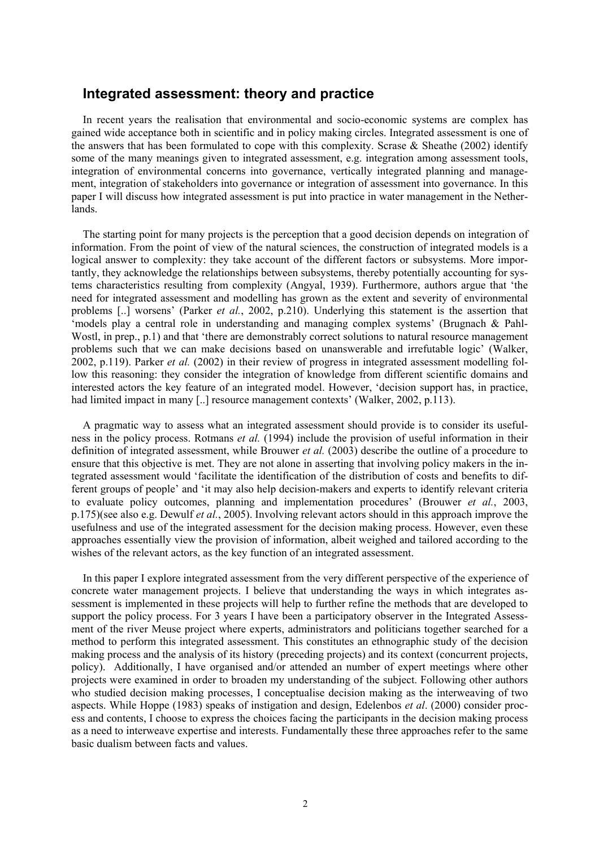## **Integrated assessment: theory and practice**

In recent years the realisation that environmental and socio-economic systems are complex has gained wide acceptance both in scientific and in policy making circles. Integrated assessment is one of the answers that has been formulated to cope with this complexity. Scrase  $\&$  Sheathe (2002) identify some of the many meanings given to integrated assessment, e.g. integration among assessment tools, integration of environmental concerns into governance, vertically integrated planning and management, integration of stakeholders into governance or integration of assessment into governance. In this paper I will discuss how integrated assessment is put into practice in water management in the Netherlands.

The starting point for many projects is the perception that a good decision depends on integration of information. From the point of view of the natural sciences, the construction of integrated models is a logical answer to complexity: they take account of the different factors or subsystems. More importantly, they acknowledge the relationships between subsystems, thereby potentially accounting for systems characteristics resulting from complexity (Angyal, 1939). Furthermore, authors argue that 'the need for integrated assessment and modelling has grown as the extent and severity of environmental problems [..] worsens' (Parker *et al.*, 2002, p.210). Underlying this statement is the assertion that 'models play a central role in understanding and managing complex systems' (Brugnach & Pahl-Wostl, in prep., p.1) and that 'there are demonstrably correct solutions to natural resource management problems such that we can make decisions based on unanswerable and irrefutable logic' (Walker, 2002, p.119). Parker *et al.* (2002) in their review of progress in integrated assessment modelling follow this reasoning: they consider the integration of knowledge from different scientific domains and interested actors the key feature of an integrated model. However, 'decision support has, in practice, had limited impact in many [..] resource management contexts' (Walker, 2002, p.113).

A pragmatic way to assess what an integrated assessment should provide is to consider its usefulness in the policy process. Rotmans *et al.* (1994) include the provision of useful information in their definition of integrated assessment, while Brouwer *et al.* (2003) describe the outline of a procedure to ensure that this objective is met. They are not alone in asserting that involving policy makers in the integrated assessment would 'facilitate the identification of the distribution of costs and benefits to different groups of people' and 'it may also help decision-makers and experts to identify relevant criteria to evaluate policy outcomes, planning and implementation procedures' (Brouwer *et al.*, 2003, p.175)(see also e.g. Dewulf *et al.*, 2005). Involving relevant actors should in this approach improve the usefulness and use of the integrated assessment for the decision making process. However, even these approaches essentially view the provision of information, albeit weighed and tailored according to the wishes of the relevant actors, as the key function of an integrated assessment.

In this paper I explore integrated assessment from the very different perspective of the experience of concrete water management projects. I believe that understanding the ways in which integrates assessment is implemented in these projects will help to further refine the methods that are developed to support the policy process. For 3 years I have been a participatory observer in the Integrated Assessment of the river Meuse project where experts, administrators and politicians together searched for a method to perform this integrated assessment. This constitutes an ethnographic study of the decision making process and the analysis of its history (preceding projects) and its context (concurrent projects, policy). Additionally, I have organised and/or attended an number of expert meetings where other projects were examined in order to broaden my understanding of the subject. Following other authors who studied decision making processes, I conceptualise decision making as the interweaving of two aspects. While Hoppe (1983) speaks of instigation and design, Edelenbos *et al*. (2000) consider process and contents, I choose to express the choices facing the participants in the decision making process as a need to interweave expertise and interests. Fundamentally these three approaches refer to the same basic dualism between facts and values.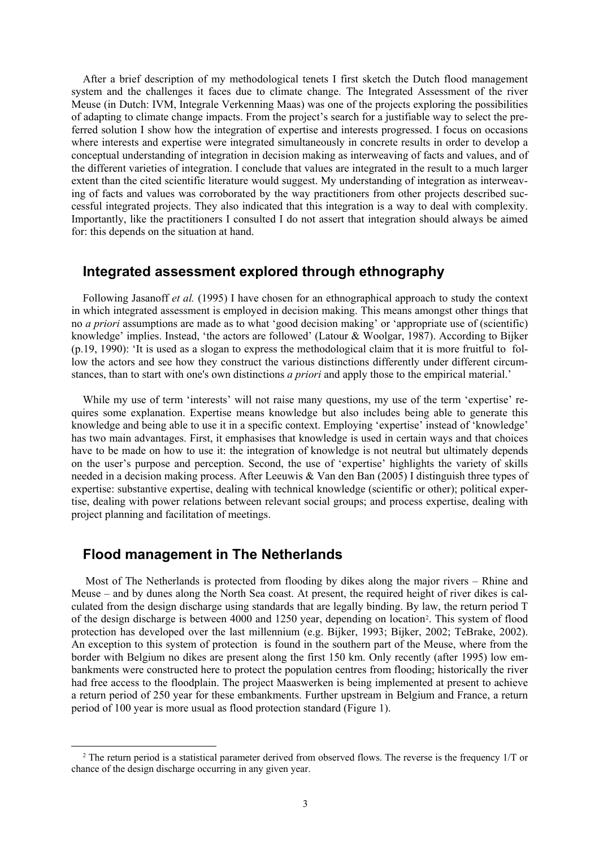After a brief description of my methodological tenets I first sketch the Dutch flood management system and the challenges it faces due to climate change. The Integrated Assessment of the river Meuse (in Dutch: IVM, Integrale Verkenning Maas) was one of the projects exploring the possibilities of adapting to climate change impacts. From the project's search for a justifiable way to select the preferred solution I show how the integration of expertise and interests progressed. I focus on occasions where interests and expertise were integrated simultaneously in concrete results in order to develop a conceptual understanding of integration in decision making as interweaving of facts and values, and of the different varieties of integration. I conclude that values are integrated in the result to a much larger extent than the cited scientific literature would suggest. My understanding of integration as interweaving of facts and values was corroborated by the way practitioners from other projects described successful integrated projects. They also indicated that this integration is a way to deal with complexity. Importantly, like the practitioners I consulted I do not assert that integration should always be aimed for: this depends on the situation at hand.

## **Integrated assessment explored through ethnography**

Following Jasanoff *et al.* (1995) I have chosen for an ethnographical approach to study the context in which integrated assessment is employed in decision making. This means amongst other things that no *a priori* assumptions are made as to what 'good decision making' or 'appropriate use of (scientific) knowledge' implies. Instead, 'the actors are followed' (Latour & Woolgar, 1987). According to Bijker (p.19, 1990): 'It is used as a slogan to express the methodological claim that it is more fruitful to follow the actors and see how they construct the various distinctions differently under different circumstances, than to start with one's own distinctions *a priori* and apply those to the empirical material.'

While my use of term 'interests' will not raise many questions, my use of the term 'expertise' requires some explanation. Expertise means knowledge but also includes being able to generate this knowledge and being able to use it in a specific context. Employing 'expertise' instead of 'knowledge' has two main advantages. First, it emphasises that knowledge is used in certain ways and that choices have to be made on how to use it: the integration of knowledge is not neutral but ultimately depends on the user's purpose and perception. Second, the use of 'expertise' highlights the variety of skills needed in a decision making process. After Leeuwis & Van den Ban (2005) I distinguish three types of expertise: substantive expertise, dealing with technical knowledge (scientific or other); political expertise, dealing with power relations between relevant social groups; and process expertise, dealing with project planning and facilitation of meetings.

## **Flood management in The Netherlands**

 Most of The Netherlands is protected from flooding by dikes along the major rivers – Rhine and Meuse – and by dunes along the North Sea coast. At present, the required height of river dikes is calculated from the design discharge using standards that are legally binding. By law, the return period T of the design discharge is between 4000 and 1250 year, depending on location[2.](#page-2-0) This system of flood protection has developed over the last millennium (e.g. Bijker, 1993; Bijker, 2002; TeBrake, 2002). An exception to this system of protection is found in the southern part of the Meuse, where from the border with Belgium no dikes are present along the first 150 km. Only recently (after 1995) low embankments were constructed here to protect the population centres from flooding; historically the river had free access to the floodplain. The project Maaswerken is being implemented at present to achieve a return period of 250 year for these embankments. Further upstream in Belgium and France, a return period of 100 year is more usual as flood protection standard (Figure 1).

<span id="page-2-0"></span><sup>&</sup>lt;sup>2</sup> The return period is a statistical parameter derived from observed flows. The reverse is the frequency 1/T or chance of the design discharge occurring in any given year.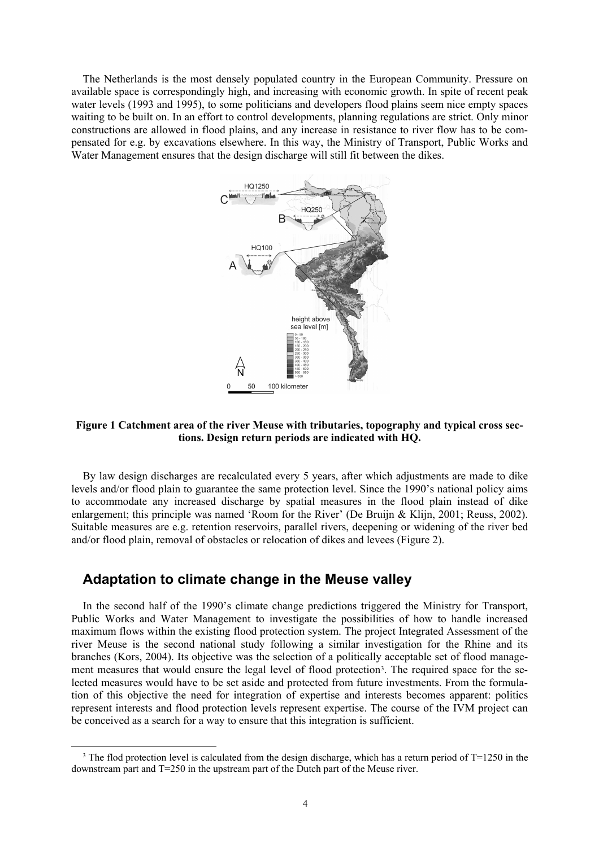The Netherlands is the most densely populated country in the European Community. Pressure on available space is correspondingly high, and increasing with economic growth. In spite of recent peak water levels (1993 and 1995), to some politicians and developers flood plains seem nice empty spaces waiting to be built on. In an effort to control developments, planning regulations are strict. Only minor constructions are allowed in flood plains, and any increase in resistance to river flow has to be compensated for e.g. by excavations elsewhere. In this way, the Ministry of Transport, Public Works and Water Management ensures that the design discharge will still fit between the dikes.



#### **Figure 1 Catchment area of the river Meuse with tributaries, topography and typical cross sections. Design return periods are indicated with HQ.**

By law design discharges are recalculated every 5 years, after which adjustments are made to dike levels and/or flood plain to guarantee the same protection level. Since the 1990's national policy aims to accommodate any increased discharge by spatial measures in the flood plain instead of dike enlargement; this principle was named 'Room for the River' (De Bruijn & Klijn, 2001; Reuss, 2002). Suitable measures are e.g. retention reservoirs, parallel rivers, deepening or widening of the river bed and/or flood plain, removal of obstacles or relocation of dikes and levees (Figure 2).

## **Adaptation to climate change in the Meuse valley**

In the second half of the 1990's climate change predictions triggered the Ministry for Transport, Public Works and Water Management to investigate the possibilities of how to handle increased maximum flows within the existing flood protection system. The project Integrated Assessment of the river Meuse is the second national study following a similar investigation for the Rhine and its branches (Kors, 2004). Its objective was the selection of a politically acceptable set of flood management measures that would ensure the legal level of flood protection<sup>3</sup>. The required space for the selected measures would have to be set aside and protected from future investments. From the formulation of this objective the need for integration of expertise and interests becomes apparent: politics represent interests and flood protection levels represent expertise. The course of the IVM project can be conceived as a search for a way to ensure that this integration is sufficient.

<span id="page-3-0"></span><sup>&</sup>lt;sup>3</sup> The flod protection level is calculated from the design discharge, which has a return period of T=1250 in the downstream part and T=250 in the upstream part of the Dutch part of the Meuse river.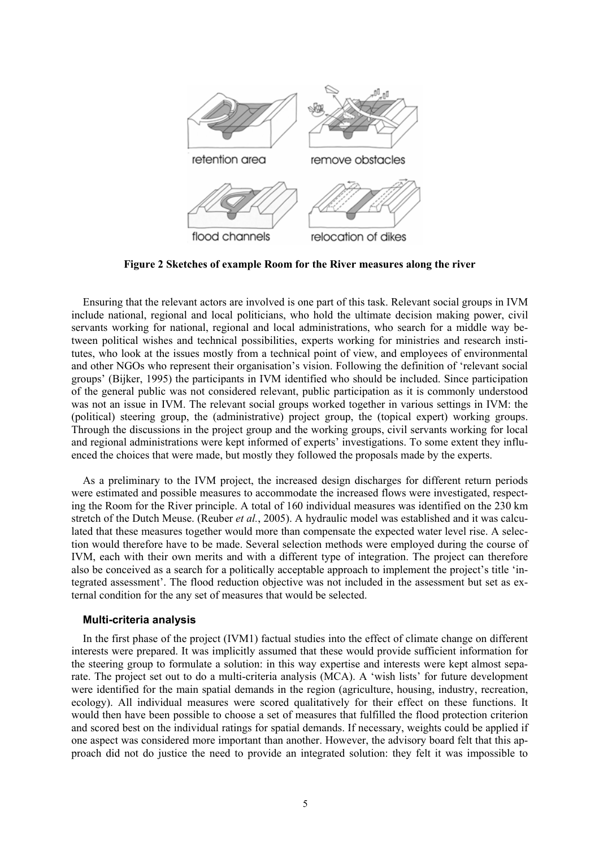

**Figure 2 Sketches of example Room for the River measures along the river**

Ensuring that the relevant actors are involved is one part of this task. Relevant social groups in IVM include national, regional and local politicians, who hold the ultimate decision making power, civil servants working for national, regional and local administrations, who search for a middle way between political wishes and technical possibilities, experts working for ministries and research institutes, who look at the issues mostly from a technical point of view, and employees of environmental and other NGOs who represent their organisation's vision. Following the definition of 'relevant social groups' (Bijker, 1995) the participants in IVM identified who should be included. Since participation of the general public was not considered relevant, public participation as it is commonly understood was not an issue in IVM. The relevant social groups worked together in various settings in IVM: the (political) steering group, the (administrative) project group, the (topical expert) working groups. Through the discussions in the project group and the working groups, civil servants working for local and regional administrations were kept informed of experts' investigations. To some extent they influenced the choices that were made, but mostly they followed the proposals made by the experts.

As a preliminary to the IVM project, the increased design discharges for different return periods were estimated and possible measures to accommodate the increased flows were investigated, respecting the Room for the River principle. A total of 160 individual measures was identified on the 230 km stretch of the Dutch Meuse. (Reuber *et al.*, 2005). A hydraulic model was established and it was calculated that these measures together would more than compensate the expected water level rise. A selection would therefore have to be made. Several selection methods were employed during the course of IVM, each with their own merits and with a different type of integration. The project can therefore also be conceived as a search for a politically acceptable approach to implement the project's title 'integrated assessment'. The flood reduction objective was not included in the assessment but set as external condition for the any set of measures that would be selected.

#### **Multi-criteria analysis**

In the first phase of the project (IVM1) factual studies into the effect of climate change on different interests were prepared. It was implicitly assumed that these would provide sufficient information for the steering group to formulate a solution: in this way expertise and interests were kept almost separate. The project set out to do a multi-criteria analysis (MCA). A 'wish lists' for future development were identified for the main spatial demands in the region (agriculture, housing, industry, recreation, ecology). All individual measures were scored qualitatively for their effect on these functions. It would then have been possible to choose a set of measures that fulfilled the flood protection criterion and scored best on the individual ratings for spatial demands. If necessary, weights could be applied if one aspect was considered more important than another. However, the advisory board felt that this approach did not do justice the need to provide an integrated solution: they felt it was impossible to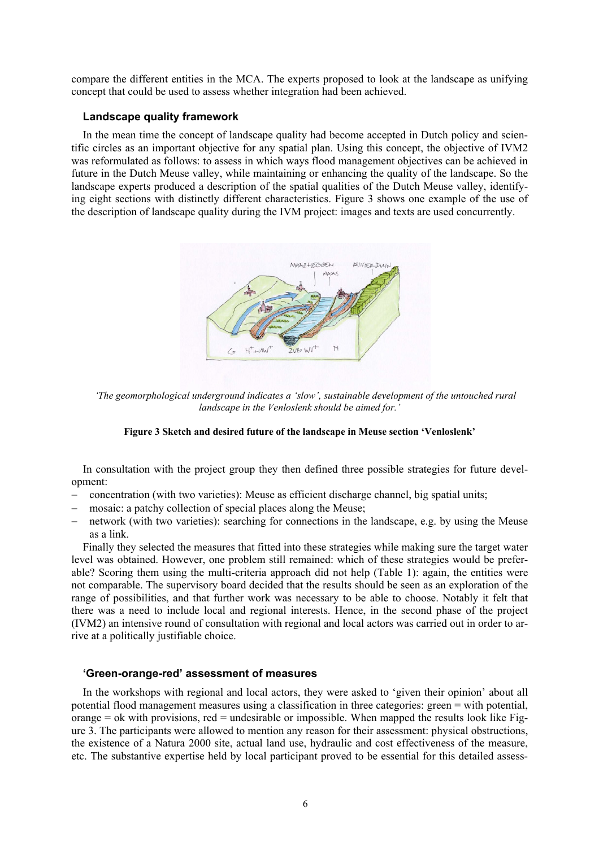<span id="page-5-0"></span>compare the different entities in the MCA. The experts proposed to look at the landscape as unifying concept that could be used to assess whether integration had been achieved.

#### **Landscape quality framework**

In the mean time the concept of landscape quality had become accepted in Dutch policy and scientific circles as an important objective for any spatial plan. Using this concept, the objective of IVM2 was reformulated as follows: to assess in which ways flood management objectives can be achieved in future in the Dutch Meuse valley, while maintaining or enhancing the quality of the landscape. So the landscape experts produced a description of the spatial qualities of the Dutch Meuse valley, identifying eight sections with distinctly different characteristics. [Figure 3](#page-5-0) shows one example of the use of the description of landscape quality during the IVM project: images and texts are used concurrently.



*'The geomorphological underground indicates a 'slow', sustainable development of the untouched rural landscape in the Venloslenk should be aimed for.'* 

#### **Figure 3 Sketch and desired future of the landscape in Meuse section 'Venloslenk'**

In consultation with the project group they then defined three possible strategies for future development:

- − concentration (with two varieties): Meuse as efficient discharge channel, big spatial units;
- mosaic: a patchy collection of special places along the Meuse;
- network (with two varieties): searching for connections in the landscape, e.g. by using the Meuse as a link.

Finally they selected the measures that fitted into these strategies while making sure the target water level was obtained. However, one problem still remained: which of these strategies would be preferable? Scoring them using the multi-criteria approach did not help (Table 1): again, the entities were not comparable. The supervisory board decided that the results should be seen as an exploration of the range of possibilities, and that further work was necessary to be able to choose. Notably it felt that there was a need to include local and regional interests. Hence, in the second phase of the project (IVM2) an intensive round of consultation with regional and local actors was carried out in order to arrive at a politically justifiable choice.

#### **'Green-orange-red' assessment of measures**

In the workshops with regional and local actors, they were asked to 'given their opinion' about all potential flood management measures using a classification in three categories: green = with potential,  $orange = ok$  with provisions,  $red =$  undesirable or impossible. When mapped the results look like Figure 3. The participants were allowed to mention any reason for their assessment: physical obstructions, the existence of a Natura 2000 site, actual land use, hydraulic and cost effectiveness of the measure, etc. The substantive expertise held by local participant proved to be essential for this detailed assess-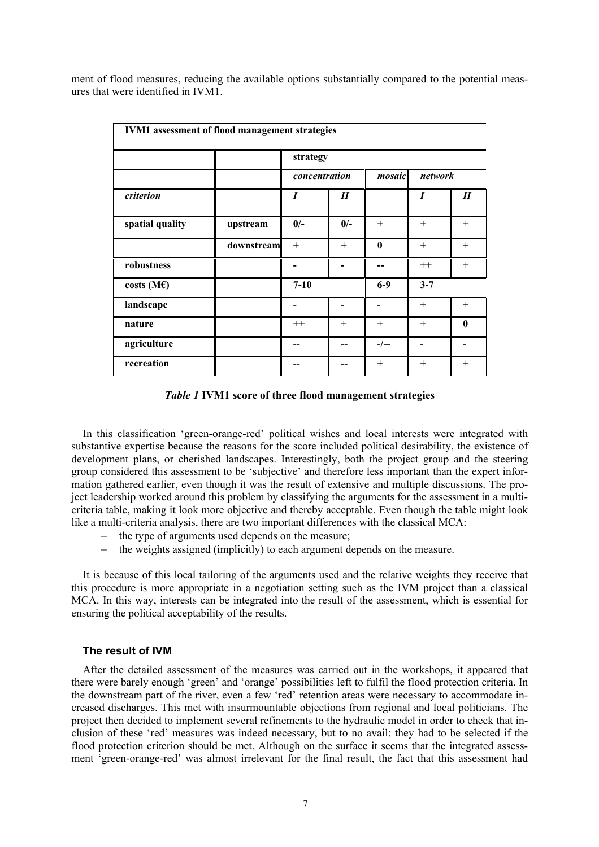ment of flood measures, reducing the available options substantially compared to the potential measures that were identified in IVM1.

| <b>IVM1</b> assessment of flood management strategies |            |               |                            |              |         |                            |
|-------------------------------------------------------|------------|---------------|----------------------------|--------------|---------|----------------------------|
|                                                       |            | strategy      |                            |              |         |                            |
|                                                       |            | concentration |                            | mosaic       | network |                            |
| criterion                                             |            | I             | $\boldsymbol{\mathit{II}}$ |              | I       | $\boldsymbol{\mathit{II}}$ |
| spatial quality                                       | upstream   | $0/-$         | $0/-$                      | $+$          | $+$     | $+$                        |
|                                                       | downstream | $+$           | $^{+}$                     | $\mathbf{0}$ | $+$     | $+$                        |
| robustness                                            |            |               |                            |              | $++$    | $^{+}$                     |
| costs (M $\epsilon$ )                                 |            | $7 - 10$      |                            | $6-9$        | $3 - 7$ |                            |
| landscape                                             |            |               |                            |              | $^{+}$  | $+$                        |
| nature                                                |            | $++$          | $^{+}$                     | $^{+}$       | $+$     | $\mathbf{0}$               |
| agriculture                                           |            |               | --                         | $-/--$       |         |                            |
| recreation                                            |            |               |                            | $+$          | $^{+}$  | $^{+}$                     |

*Table 1* **IVM1 score of three flood management strategies** 

In this classification 'green-orange-red' political wishes and local interests were integrated with substantive expertise because the reasons for the score included political desirability, the existence of development plans, or cherished landscapes. Interestingly, both the project group and the steering group considered this assessment to be 'subjective' and therefore less important than the expert information gathered earlier, even though it was the result of extensive and multiple discussions. The project leadership worked around this problem by classifying the arguments for the assessment in a multicriteria table, making it look more objective and thereby acceptable. Even though the table might look like a multi-criteria analysis, there are two important differences with the classical MCA:

- the type of arguments used depends on the measure;
- the weights assigned (implicitly) to each argument depends on the measure.

It is because of this local tailoring of the arguments used and the relative weights they receive that this procedure is more appropriate in a negotiation setting such as the IVM project than a classical MCA. In this way, interests can be integrated into the result of the assessment, which is essential for ensuring the political acceptability of the results.

#### **The result of IVM**

After the detailed assessment of the measures was carried out in the workshops, it appeared that there were barely enough 'green' and 'orange' possibilities left to fulfil the flood protection criteria. In the downstream part of the river, even a few 'red' retention areas were necessary to accommodate increased discharges. This met with insurmountable objections from regional and local politicians. The project then decided to implement several refinements to the hydraulic model in order to check that inclusion of these 'red' measures was indeed necessary, but to no avail: they had to be selected if the flood protection criterion should be met. Although on the surface it seems that the integrated assessment 'green-orange-red' was almost irrelevant for the final result, the fact that this assessment had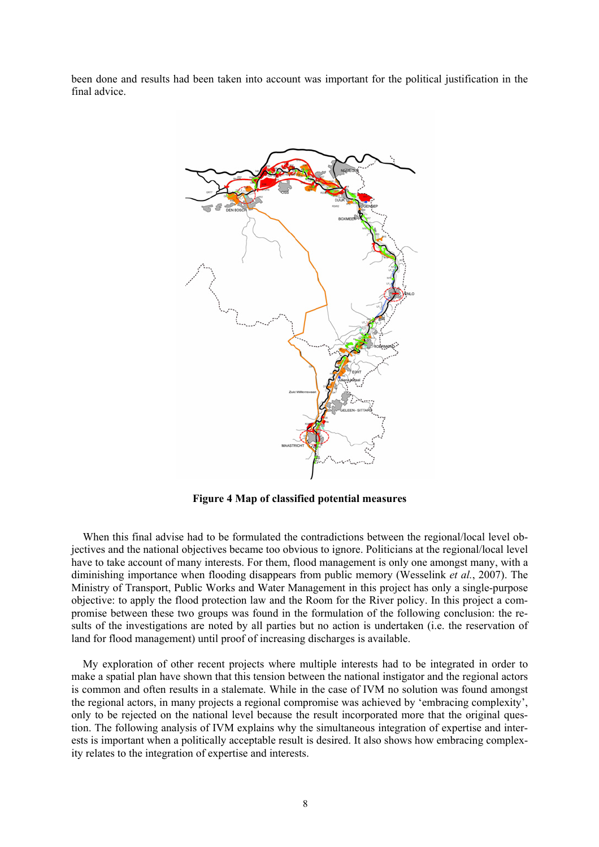been done and results had been taken into account was important for the political justification in the final advice.



**Figure 4 Map of classified potential measures** 

When this final advise had to be formulated the contradictions between the regional/local level objectives and the national objectives became too obvious to ignore. Politicians at the regional/local level have to take account of many interests. For them, flood management is only one amongst many, with a diminishing importance when flooding disappears from public memory (Wesselink *et al.*, 2007). The Ministry of Transport, Public Works and Water Management in this project has only a single-purpose objective: to apply the flood protection law and the Room for the River policy. In this project a compromise between these two groups was found in the formulation of the following conclusion: the results of the investigations are noted by all parties but no action is undertaken (i.e. the reservation of land for flood management) until proof of increasing discharges is available.

My exploration of other recent projects where multiple interests had to be integrated in order to make a spatial plan have shown that this tension between the national instigator and the regional actors is common and often results in a stalemate. While in the case of IVM no solution was found amongst the regional actors, in many projects a regional compromise was achieved by 'embracing complexity', only to be rejected on the national level because the result incorporated more that the original question. The following analysis of IVM explains why the simultaneous integration of expertise and interests is important when a politically acceptable result is desired. It also shows how embracing complexity relates to the integration of expertise and interests.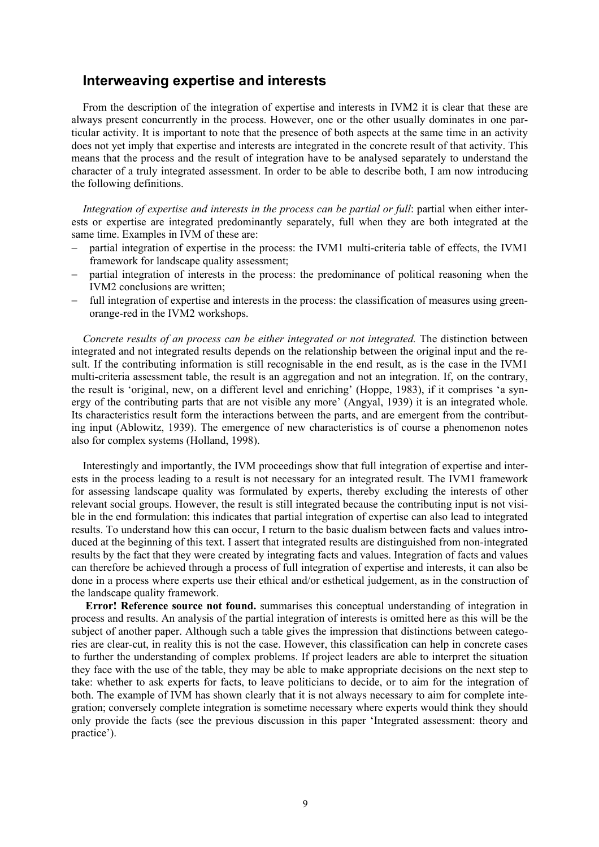### **Interweaving expertise and interests**

From the description of the integration of expertise and interests in IVM2 it is clear that these are always present concurrently in the process. However, one or the other usually dominates in one particular activity. It is important to note that the presence of both aspects at the same time in an activity does not yet imply that expertise and interests are integrated in the concrete result of that activity. This means that the process and the result of integration have to be analysed separately to understand the character of a truly integrated assessment. In order to be able to describe both, I am now introducing the following definitions.

*Integration of expertise and interests in the process can be partial or full: partial when either inter*ests or expertise are integrated predominantly separately, full when they are both integrated at the same time. Examples in IVM of these are:

- partial integration of expertise in the process: the IVM1 multi-criteria table of effects, the IVM1 framework for landscape quality assessment;
- partial integration of interests in the process: the predominance of political reasoning when the IVM2 conclusions are written;
- − full integration of expertise and interests in the process: the classification of measures using greenorange-red in the IVM2 workshops.

*Concrete results of an process can be either integrated or not integrated.* The distinction between integrated and not integrated results depends on the relationship between the original input and the result. If the contributing information is still recognisable in the end result, as is the case in the IVM1 multi-criteria assessment table, the result is an aggregation and not an integration. If, on the contrary, the result is 'original, new, on a different level and enriching' (Hoppe, 1983), if it comprises 'a synergy of the contributing parts that are not visible any more' (Angyal, 1939) it is an integrated whole. Its characteristics result form the interactions between the parts, and are emergent from the contributing input (Ablowitz, 1939). The emergence of new characteristics is of course a phenomenon notes also for complex systems (Holland, 1998).

Interestingly and importantly, the IVM proceedings show that full integration of expertise and interests in the process leading to a result is not necessary for an integrated result. The IVM1 framework for assessing landscape quality was formulated by experts, thereby excluding the interests of other relevant social groups. However, the result is still integrated because the contributing input is not visible in the end formulation: this indicates that partial integration of expertise can also lead to integrated results. To understand how this can occur, I return to the basic dualism between facts and values introduced at the beginning of this text. I assert that integrated results are distinguished from non-integrated results by the fact that they were created by integrating facts and values. Integration of facts and values can therefore be achieved through a process of full integration of expertise and interests, it can also be done in a process where experts use their ethical and/or esthetical judgement, as in the construction of the landscape quality framework.

**Error! Reference source not found.** summarises this conceptual understanding of integration in process and results. An analysis of the partial integration of interests is omitted here as this will be the subject of another paper. Although such a table gives the impression that distinctions between categories are clear-cut, in reality this is not the case. However, this classification can help in concrete cases to further the understanding of complex problems. If project leaders are able to interpret the situation they face with the use of the table, they may be able to make appropriate decisions on the next step to take: whether to ask experts for facts, to leave politicians to decide, or to aim for the integration of both. The example of IVM has shown clearly that it is not always necessary to aim for complete integration; conversely complete integration is sometime necessary where experts would think they should only provide the facts (see the previous discussion in this paper 'Integrated assessment: theory and practice').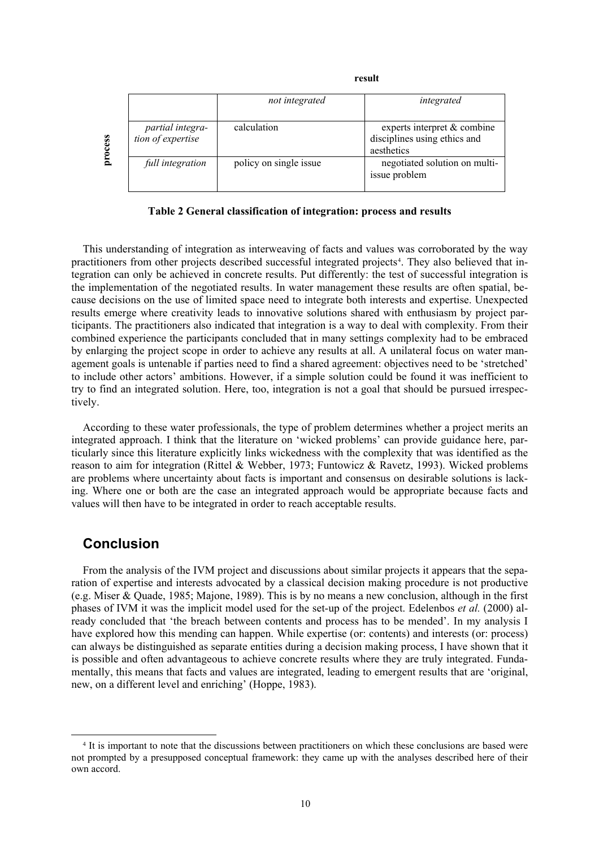|         |                                       | not integrated         | integrated                                                                |
|---------|---------------------------------------|------------------------|---------------------------------------------------------------------------|
| process | partial integra-<br>tion of expertise | calculation            | experts interpret & combine<br>disciplines using ethics and<br>aesthetics |
|         | full integration                      | policy on single issue | negotiated solution on multi-<br>issue problem                            |

*<u>result</u>* 

**Table 2 General classification of integration: process and results** 

This understanding of integration as interweaving of facts and values was corroborated by the way practitioners from other projects described successful integrated projects[4](#page-9-0). They also believed that integration can only be achieved in concrete results. Put differently: the test of successful integration is the implementation of the negotiated results. In water management these results are often spatial, because decisions on the use of limited space need to integrate both interests and expertise. Unexpected results emerge where creativity leads to innovative solutions shared with enthusiasm by project participants. The practitioners also indicated that integration is a way to deal with complexity. From their combined experience the participants concluded that in many settings complexity had to be embraced by enlarging the project scope in order to achieve any results at all. A unilateral focus on water management goals is untenable if parties need to find a shared agreement: objectives need to be 'stretched' to include other actors' ambitions. However, if a simple solution could be found it was inefficient to try to find an integrated solution. Here, too, integration is not a goal that should be pursued irrespectively.

According to these water professionals, the type of problem determines whether a project merits an integrated approach. I think that the literature on 'wicked problems' can provide guidance here, particularly since this literature explicitly links wickedness with the complexity that was identified as the reason to aim for integration (Rittel & Webber, 1973; Funtowicz & Ravetz, 1993). Wicked problems are problems where uncertainty about facts is important and consensus on desirable solutions is lacking. Where one or both are the case an integrated approach would be appropriate because facts and values will then have to be integrated in order to reach acceptable results.

## **Conclusion**

From the analysis of the IVM project and discussions about similar projects it appears that the separation of expertise and interests advocated by a classical decision making procedure is not productive (e.g. Miser & Quade, 1985; Majone, 1989). This is by no means a new conclusion, although in the first phases of IVM it was the implicit model used for the set-up of the project. Edelenbos *et al.* (2000) already concluded that 'the breach between contents and process has to be mended'. In my analysis I have explored how this mending can happen. While expertise (or: contents) and interests (or: process) can always be distinguished as separate entities during a decision making process, I have shown that it is possible and often advantageous to achieve concrete results where they are truly integrated. Fundamentally, this means that facts and values are integrated, leading to emergent results that are 'original, new, on a different level and enriching' (Hoppe, 1983).

<span id="page-9-0"></span> <sup>4</sup> It is important to note that the discussions between practitioners on which these conclusions are based were not prompted by a presupposed conceptual framework: they came up with the analyses described here of their own accord.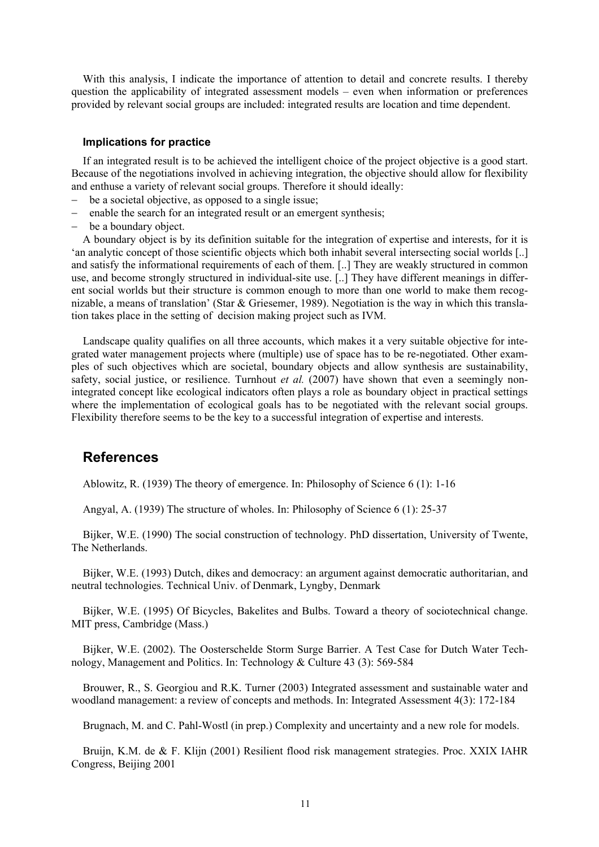With this analysis, I indicate the importance of attention to detail and concrete results. I thereby question the applicability of integrated assessment models – even when information or preferences provided by relevant social groups are included: integrated results are location and time dependent.

#### **Implications for practice**

If an integrated result is to be achieved the intelligent choice of the project objective is a good start. Because of the negotiations involved in achieving integration, the objective should allow for flexibility and enthuse a variety of relevant social groups. Therefore it should ideally:

- − be a societal objective, as opposed to a single issue;
- − enable the search for an integrated result or an emergent synthesis;
- be a boundary object.

A boundary object is by its definition suitable for the integration of expertise and interests, for it is 'an analytic concept of those scientific objects which both inhabit several intersecting social worlds [..] and satisfy the informational requirements of each of them. [..] They are weakly structured in common use, and become strongly structured in individual-site use. [..] They have different meanings in different social worlds but their structure is common enough to more than one world to make them recognizable, a means of translation' (Star & Griesemer, 1989). Negotiation is the way in which this translation takes place in the setting of decision making project such as IVM.

Landscape quality qualifies on all three accounts, which makes it a very suitable objective for integrated water management projects where (multiple) use of space has to be re-negotiated. Other examples of such objectives which are societal, boundary objects and allow synthesis are sustainability, safety, social justice, or resilience. Turnhout *et al.* (2007) have shown that even a seemingly nonintegrated concept like ecological indicators often plays a role as boundary object in practical settings where the implementation of ecological goals has to be negotiated with the relevant social groups. Flexibility therefore seems to be the key to a successful integration of expertise and interests.

### **References**

Ablowitz, R. (1939) The theory of emergence. In: Philosophy of Science 6 (1): 1-16

Angyal, A. (1939) The structure of wholes. In: Philosophy of Science 6 (1): 25-37

Bijker, W.E. (1990) The social construction of technology. PhD dissertation, University of Twente, The Netherlands.

Bijker, W.E. (1993) Dutch, dikes and democracy: an argument against democratic authoritarian, and neutral technologies. Technical Univ. of Denmark, Lyngby, Denmark

Bijker, W.E. (1995) Of Bicycles, Bakelites and Bulbs. Toward a theory of sociotechnical change. MIT press, Cambridge (Mass.)

Bijker, W.E. (2002). The Oosterschelde Storm Surge Barrier. A Test Case for Dutch Water Technology, Management and Politics. In: Technology & Culture 43 (3): 569-584

Brouwer, R., S. Georgiou and R.K. Turner (2003) Integrated assessment and sustainable water and woodland management: a review of concepts and methods. In: Integrated Assessment 4(3): 172-184

Brugnach, M. and C. Pahl-Wostl (in prep.) Complexity and uncertainty and a new role for models.

Bruijn, K.M. de & F. Klijn (2001) Resilient flood risk management strategies. Proc. XXIX IAHR Congress, Beijing 2001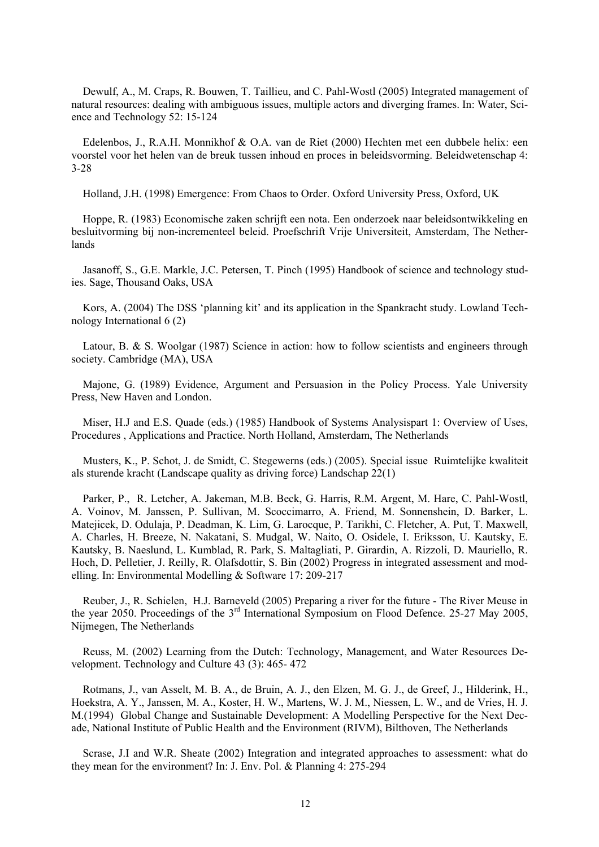Dewulf, A., M. Craps, R. Bouwen, T. Taillieu, and C. Pahl-Wostl (2005) Integrated management of natural resources: dealing with ambiguous issues, multiple actors and diverging frames. In: Water, Science and Technology 52: 15-124

Edelenbos, J., R.A.H. Monnikhof & O.A. van de Riet (2000) Hechten met een dubbele helix: een voorstel voor het helen van de breuk tussen inhoud en proces in beleidsvorming. Beleidwetenschap 4: 3-28

Holland, J.H. (1998) Emergence: From Chaos to Order. Oxford University Press, Oxford, UK

Hoppe, R. (1983) Economische zaken schrijft een nota. Een onderzoek naar beleidsontwikkeling en besluitvorming bij non-incrementeel beleid. Proefschrift Vrije Universiteit, Amsterdam, The Netherlands

Jasanoff, S., G.E. Markle, J.C. Petersen, T. Pinch (1995) Handbook of science and technology studies. Sage, Thousand Oaks, USA

Kors, A. (2004) The DSS 'planning kit' and its application in the Spankracht study. Lowland Technology International 6 (2)

Latour, B. & S. Woolgar (1987) Science in action: how to follow scientists and engineers through society. Cambridge (MA), USA

Majone, G. (1989) Evidence, Argument and Persuasion in the Policy Process. Yale University Press, New Haven and London.

Miser, H.J and E.S. Quade (eds.) (1985) Handbook of Systems Analysispart 1: Overview of Uses, Procedures , Applications and Practice. North Holland, Amsterdam, The Netherlands

Musters, K., P. Schot, J. de Smidt, C. Stegewerns (eds.) (2005). Special issue Ruimtelijke kwaliteit als sturende kracht (Landscape quality as driving force) Landschap 22(1)

Parker, P., R. Letcher, A. Jakeman, M.B. Beck, G. Harris, R.M. Argent, M. Hare, C. Pahl-Wostl, A. Voinov, M. Janssen, P. Sullivan, M. Scoccimarro, A. Friend, M. Sonnenshein, D. Barker, L. Matejicek, D. Odulaja, P. Deadman, K. Lim, G. Larocque, P. Tarikhi, C. Fletcher, A. Put, T. Maxwell, A. Charles, H. Breeze, N. Nakatani, S. Mudgal, W. Naito, O. Osidele, I. Eriksson, U. Kautsky, E. Kautsky, B. Naeslund, L. Kumblad, R. Park, S. Maltagliati, P. Girardin, A. Rizzoli, D. Mauriello, R. Hoch, D. Pelletier, J. Reilly, R. Olafsdottir, S. Bin (2002) Progress in integrated assessment and modelling. In: Environmental Modelling & Software 17: 209-217

Reuber, J., R. Schielen, H.J. Barneveld (2005) Preparing a river for the future - The River Meuse in the year 2050. Proceedings of the 3<sup>rd</sup> International Symposium on Flood Defence. 25-27 May 2005, Nijmegen, The Netherlands

Reuss, M. (2002) Learning from the Dutch: Technology, Management, and Water Resources Development. Technology and Culture 43 (3): 465- 472

Rotmans, J., van Asselt, M. B. A., de Bruin, A. J., den Elzen, M. G. J., de Greef, J., Hilderink, H., Hoekstra, A. Y., Janssen, M. A., Koster, H. W., Martens, W. J. M., Niessen, L. W., and de Vries, H. J. M.(1994) Global Change and Sustainable Development: A Modelling Perspective for the Next Decade, National Institute of Public Health and the Environment (RIVM), Bilthoven, The Netherlands

Scrase, J.I and W.R. Sheate (2002) Integration and integrated approaches to assessment: what do they mean for the environment? In: J. Env. Pol. & Planning 4: 275-294